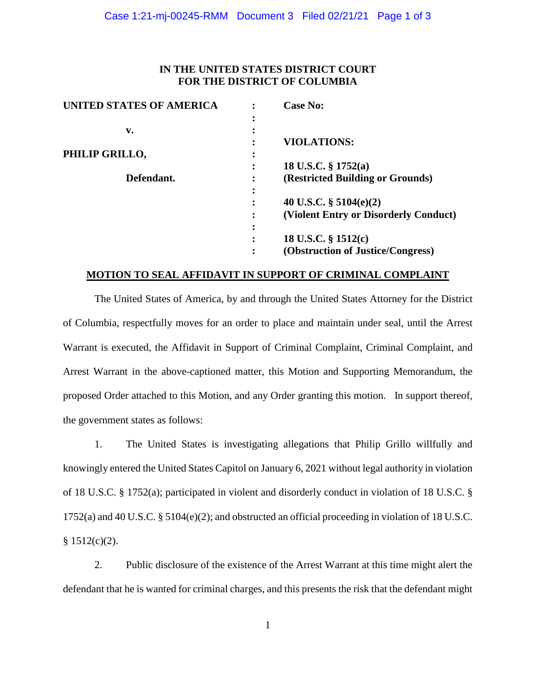### **IN THE UNITED STATES DISTRICT COURT FOR THE DISTRICT OF COLUMBIA**

| <b>UNITED STATES OF AMERICA</b> | <b>Case No:</b>                       |
|---------------------------------|---------------------------------------|
|                                 |                                       |
| v.                              |                                       |
|                                 | <b>VIOLATIONS:</b>                    |
| PHILIP GRILLO,                  |                                       |
|                                 | 18 U.S.C. $\S 1752(a)$                |
| Defendant.                      | (Restricted Building or Grounds)      |
|                                 |                                       |
|                                 | 40 U.S.C. $\S$ 5104(e)(2)             |
|                                 | (Violent Entry or Disorderly Conduct) |
|                                 |                                       |
|                                 | 18 U.S.C. § 1512(c)                   |
|                                 | (Obstruction of Justice/Congress)     |

#### **MOTION TO SEAL AFFIDAVIT IN SUPPORT OF CRIMINAL COMPLAINT**

The United States of America, by and through the United States Attorney for the District of Columbia, respectfully moves for an order to place and maintain under seal, until the Arrest Warrant is executed, the Affidavit in Support of Criminal Complaint, Criminal Complaint, and Arrest Warrant in the above-captioned matter, this Motion and Supporting Memorandum, the proposed Order attached to this Motion, and any Order granting this motion. In support thereof, the government states as follows:

1. The United States is investigating allegations that Philip Grillo willfully and knowingly entered the United States Capitol on January 6, 2021 without legal authority in violation of 18 U.S.C. § 1752(a); participated in violent and disorderly conduct in violation of 18 U.S.C. § 1752(a) and 40 U.S.C. § 5104(e)(2); and obstructed an official proceeding in violation of 18 U.S.C.  $$1512(c)(2).$ 

2. Public disclosure of the existence of the Arrest Warrant at this time might alert the defendant that he is wanted for criminal charges, and this presents the risk that the defendant might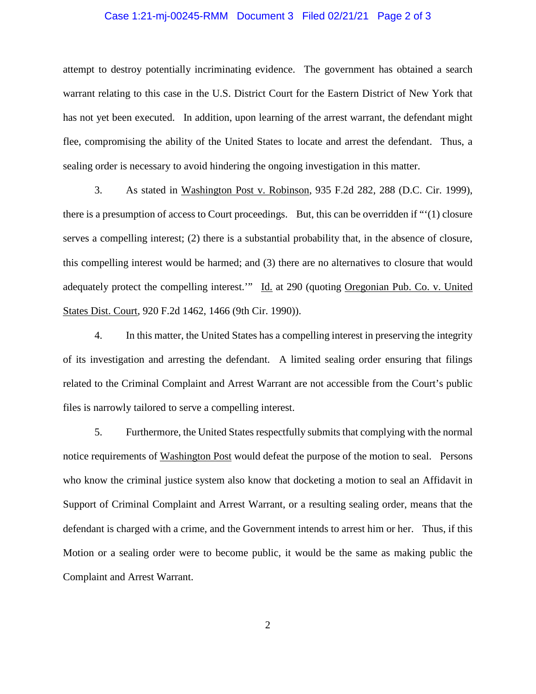#### Case 1:21-mj-00245-RMM Document 3 Filed 02/21/21 Page 2 of 3

attempt to destroy potentially incriminating evidence. The government has obtained a search warrant relating to this case in the U.S. District Court for the Eastern District of New York that has not yet been executed. In addition, upon learning of the arrest warrant, the defendant might flee, compromising the ability of the United States to locate and arrest the defendant. Thus, a sealing order is necessary to avoid hindering the ongoing investigation in this matter.

 3. As stated in Washington Post v. Robinson, 935 F.2d 282, 288 (D.C. Cir. 1999), there is a presumption of access to Court proceedings. But, this can be overridden if "'(1) closure serves a compelling interest; (2) there is a substantial probability that, in the absence of closure, this compelling interest would be harmed; and (3) there are no alternatives to closure that would adequately protect the compelling interest." Id. at 290 (quoting Oregonian Pub. Co. v. United States Dist. Court, 920 F.2d 1462, 1466 (9th Cir. 1990)).

 4. In this matter, the United States has a compelling interest in preserving the integrity of its investigation and arresting the defendant. A limited sealing order ensuring that filings related to the Criminal Complaint and Arrest Warrant are not accessible from the Court's public files is narrowly tailored to serve a compelling interest.

 5. Furthermore, the United States respectfully submits that complying with the normal notice requirements of Washington Post would defeat the purpose of the motion to seal. Persons who know the criminal justice system also know that docketing a motion to seal an Affidavit in Support of Criminal Complaint and Arrest Warrant, or a resulting sealing order, means that the defendant is charged with a crime, and the Government intends to arrest him or her. Thus, if this Motion or a sealing order were to become public, it would be the same as making public the Complaint and Arrest Warrant.

2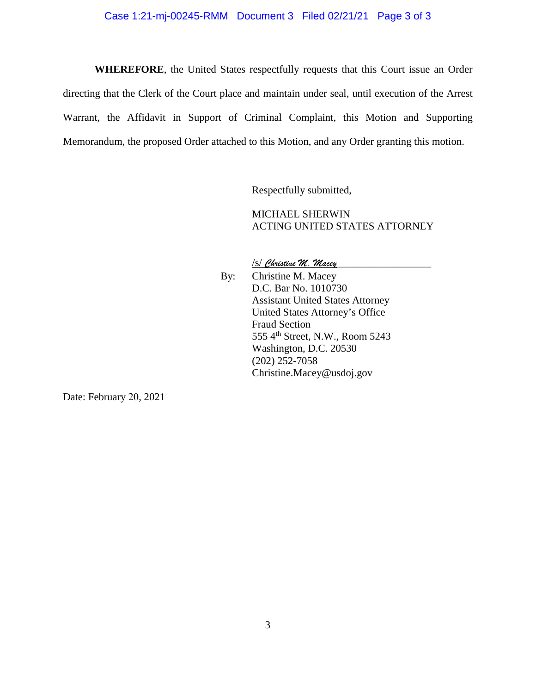# Case 1:21-mj-00245-RMM Document 3 Filed 02/21/21 Page 3 of 3

**WHEREFORE**, the United States respectfully requests that this Court issue an Order directing that the Clerk of the Court place and maintain under seal, until execution of the Arrest Warrant, the Affidavit in Support of Criminal Complaint, this Motion and Supporting Memorandum, the proposed Order attached to this Motion, and any Order granting this motion.

Respectfully submitted,

MICHAEL SHERWIN ACTING UNITED STATES ATTORNEY

/s/ *Christine M. Macey*\_\_\_\_\_\_\_\_\_\_\_\_\_\_\_\_\_\_

By: Christine M. Macey D.C. Bar No. 1010730 Assistant United States Attorney United States Attorney's Office Fraud Section 555 4th Street, N.W., Room 5243 Washington, D.C. 20530 (202) 252-7058 Christine.Macey@usdoj.gov

Date: February 20, 2021